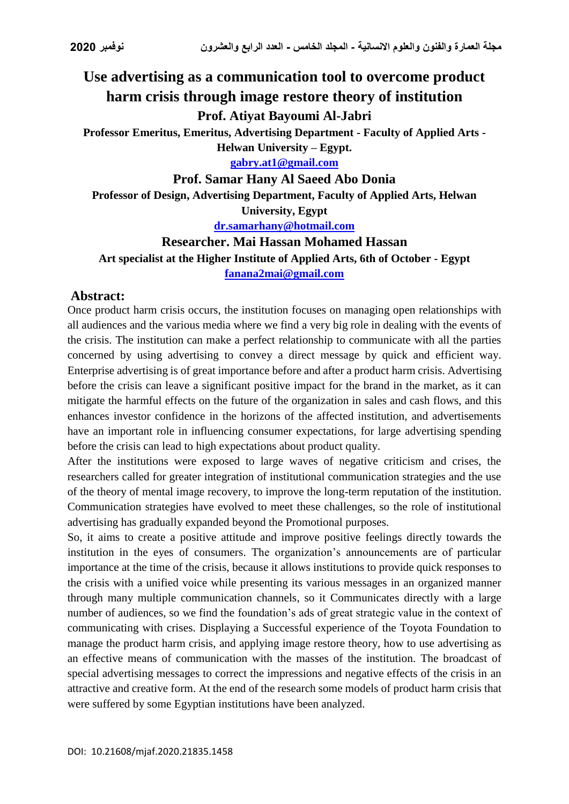# **Use advertising as a communication tool to overcome product harm crisis through image restore theory of institution**

# **Prof. Atiyat Bayoumi Al-Jabri**

**Professor Emeritus, Emeritus, Advertising Department - Faculty of Applied Arts -**

**Helwan University – Egypt.**

**[gabry.at1@gmail.com](mailto:gabry.at1@gmail.com)**

#### **Prof. Samar Hany Al Saeed Abo Donia**

**Professor of Design, Advertising Department, Faculty of Applied Arts, Helwan University, Egypt**

**[dr.samarhany@hotmail.com](mailto:dr.samarhany@hotmail.com)**

#### **Researcher. Mai Hassan Mohamed Hassan**

**Art specialist at the Higher Institute of Applied Arts, 6th of October - Egypt [fanana2mai@gmail.com](mailto:fanana2mai@gmail.com)**

#### **Abstract:**

Once product harm crisis occurs, the institution focuses on managing open relationships with all audiences and the various media where we find a very big role in dealing with the events of the crisis. The institution can make a perfect relationship to communicate with all the parties concerned by using advertising to convey a direct message by quick and efficient way. Enterprise advertising is of great importance before and after a product harm crisis. Advertising before the crisis can leave a significant positive impact for the brand in the market, as it can mitigate the harmful effects on the future of the organization in sales and cash flows, and this enhances investor confidence in the horizons of the affected institution, and advertisements have an important role in influencing consumer expectations, for large advertising spending before the crisis can lead to high expectations about product quality.

After the institutions were exposed to large waves of negative criticism and crises, the researchers called for greater integration of institutional communication strategies and the use of the theory of mental image recovery, to improve the long-term reputation of the institution. Communication strategies have evolved to meet these challenges, so the role of institutional advertising has gradually expanded beyond the Promotional purposes.

So, it aims to create a positive attitude and improve positive feelings directly towards the institution in the eyes of consumers. The organization's announcements are of particular importance at the time of the crisis, because it allows institutions to provide quick responses to the crisis with a unified voice while presenting its various messages in an organized manner through many multiple communication channels, so it Communicates directly with a large number of audiences, so we find the foundation's ads of great strategic value in the context of communicating with crises. Displaying a Successful experience of the Toyota Foundation to manage the product harm crisis, and applying image restore theory, how to use advertising as an effective means of communication with the masses of the institution. The broadcast of special advertising messages to correct the impressions and negative effects of the crisis in an attractive and creative form. At the end of the research some models of product harm crisis that were suffered by some Egyptian institutions have been analyzed.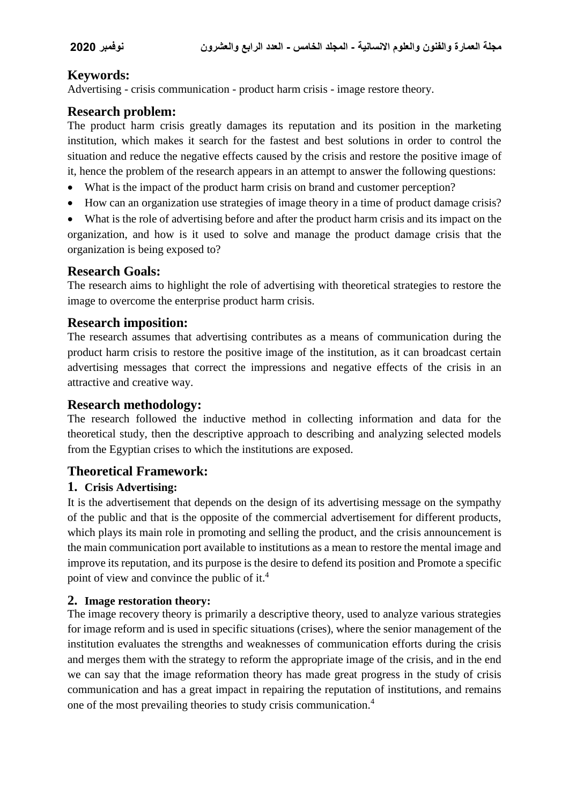# **Keywords:**

Advertising - crisis communication - product harm crisis - image restore theory.

# **Research problem:**

The product harm crisis greatly damages its reputation and its position in the marketing institution, which makes it search for the fastest and best solutions in order to control the situation and reduce the negative effects caused by the crisis and restore the positive image of it, hence the problem of the research appears in an attempt to answer the following questions:

- What is the impact of the product harm crisis on brand and customer perception?
- How can an organization use strategies of image theory in a time of product damage crisis?

 What is the role of advertising before and after the product harm crisis and its impact on the organization, and how is it used to solve and manage the product damage crisis that the organization is being exposed to?

### **Research Goals:**

The research aims to highlight the role of advertising with theoretical strategies to restore the image to overcome the enterprise product harm crisis.

## **Research imposition:**

The research assumes that advertising contributes as a means of communication during the product harm crisis to restore the positive image of the institution, as it can broadcast certain advertising messages that correct the impressions and negative effects of the crisis in an attractive and creative way.

#### **Research methodology:**

The research followed the inductive method in collecting information and data for the theoretical study, then the descriptive approach to describing and analyzing selected models from the Egyptian crises to which the institutions are exposed.

#### **Theoretical Framework:**

#### **1. Crisis Advertising:**

It is the advertisement that depends on the design of its advertising message on the sympathy of the public and that is the opposite of the commercial advertisement for different products, which plays its main role in promoting and selling the product, and the crisis announcement is the main communication port available to institutions as a mean to restore the mental image and improve its reputation, and its purpose is the desire to defend its position and Promote a specific point of view and convince the public of it.<sup>4</sup>

#### **2. Image restoration theory:**

The image recovery theory is primarily a descriptive theory, used to analyze various strategies for image reform and is used in specific situations (crises), where the senior management of the institution evaluates the strengths and weaknesses of communication efforts during the crisis and merges them with the strategy to reform the appropriate image of the crisis, and in the end we can say that the image reformation theory has made great progress in the study of crisis communication and has a great impact in repairing the reputation of institutions, and remains one of the most prevailing theories to study crisis communication.<sup>4</sup>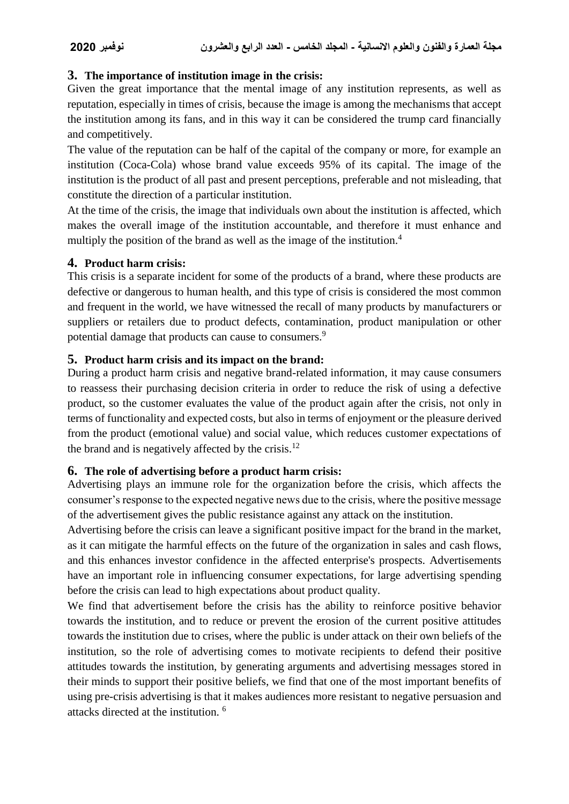#### **3. The importance of institution image in the crisis:**

Given the great importance that the mental image of any institution represents, as well as reputation, especially in times of crisis, because the image is among the mechanisms that accept the institution among its fans, and in this way it can be considered the trump card financially and competitively.

The value of the reputation can be half of the capital of the company or more, for example an institution (Coca-Cola) whose brand value exceeds 95% of its capital. The image of the institution is the product of all past and present perceptions, preferable and not misleading, that constitute the direction of a particular institution.

At the time of the crisis, the image that individuals own about the institution is affected, which makes the overall image of the institution accountable, and therefore it must enhance and multiply the position of the brand as well as the image of the institution.<sup>4</sup>

#### **4. Product harm crisis:**

This crisis is a separate incident for some of the products of a brand, where these products are defective or dangerous to human health, and this type of crisis is considered the most common and frequent in the world, we have witnessed the recall of many products by manufacturers or suppliers or retailers due to product defects, contamination, product manipulation or other potential damage that products can cause to consumers.<sup>9</sup>

### **5. Product harm crisis and its impact on the brand:**

During a product harm crisis and negative brand-related information, it may cause consumers to reassess their purchasing decision criteria in order to reduce the risk of using a defective product, so the customer evaluates the value of the product again after the crisis, not only in terms of functionality and expected costs, but also in terms of enjoyment or the pleasure derived from the product (emotional value) and social value, which reduces customer expectations of the brand and is negatively affected by the crisis.<sup>12</sup>

#### **6. The role of advertising before a product harm crisis:**

Advertising plays an immune role for the organization before the crisis, which affects the consumer's response to the expected negative news due to the crisis, where the positive message of the advertisement gives the public resistance against any attack on the institution.

Advertising before the crisis can leave a significant positive impact for the brand in the market, as it can mitigate the harmful effects on the future of the organization in sales and cash flows, and this enhances investor confidence in the affected enterprise's prospects. Advertisements have an important role in influencing consumer expectations, for large advertising spending before the crisis can lead to high expectations about product quality.

We find that advertisement before the crisis has the ability to reinforce positive behavior towards the institution, and to reduce or prevent the erosion of the current positive attitudes towards the institution due to crises, where the public is under attack on their own beliefs of the institution, so the role of advertising comes to motivate recipients to defend their positive attitudes towards the institution, by generating arguments and advertising messages stored in their minds to support their positive beliefs, we find that one of the most important benefits of using pre-crisis advertising is that it makes audiences more resistant to negative persuasion and attacks directed at the institution. <sup>6</sup>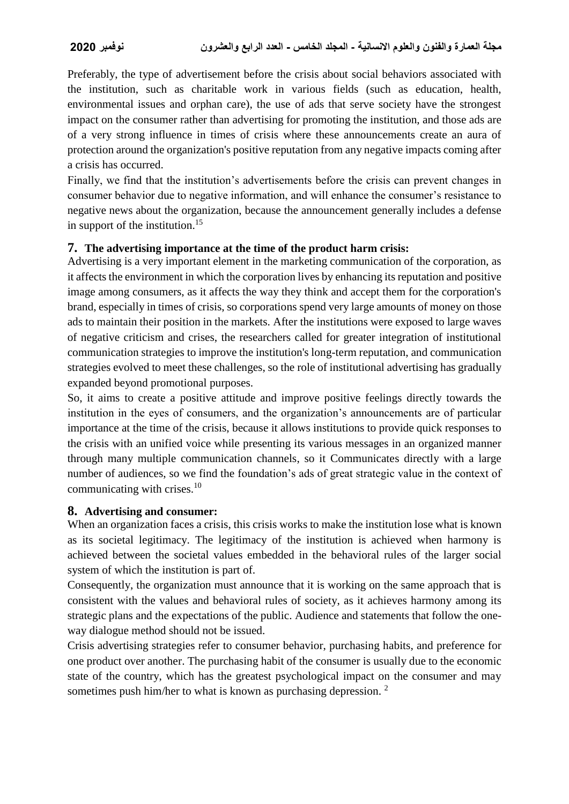Preferably, the type of advertisement before the crisis about social behaviors associated with the institution, such as charitable work in various fields (such as education, health, environmental issues and orphan care), the use of ads that serve society have the strongest impact on the consumer rather than advertising for promoting the institution, and those ads are of a very strong influence in times of crisis where these announcements create an aura of protection around the organization's positive reputation from any negative impacts coming after a crisis has occurred.

Finally, we find that the institution's advertisements before the crisis can prevent changes in consumer behavior due to negative information, and will enhance the consumer's resistance to negative news about the organization, because the announcement generally includes a defense in support of the institution.<sup>15</sup>

#### **7. The advertising importance at the time of the product harm crisis:**

Advertising is a very important element in the marketing communication of the corporation, as it affects the environment in which the corporation lives by enhancing its reputation and positive image among consumers, as it affects the way they think and accept them for the corporation's brand, especially in times of crisis, so corporations spend very large amounts of money on those ads to maintain their position in the markets. After the institutions were exposed to large waves of negative criticism and crises, the researchers called for greater integration of institutional communication strategies to improve the institution's long-term reputation, and communication strategies evolved to meet these challenges, so the role of institutional advertising has gradually expanded beyond promotional purposes.

So, it aims to create a positive attitude and improve positive feelings directly towards the institution in the eyes of consumers, and the organization's announcements are of particular importance at the time of the crisis, because it allows institutions to provide quick responses to the crisis with an unified voice while presenting its various messages in an organized manner through many multiple communication channels, so it Communicates directly with a large number of audiences, so we find the foundation's ads of great strategic value in the context of communicating with crises.<sup>10</sup>

#### **8. Advertising and consumer:**

When an organization faces a crisis, this crisis works to make the institution lose what is known as its societal legitimacy. The legitimacy of the institution is achieved when harmony is achieved between the societal values embedded in the behavioral rules of the larger social system of which the institution is part of.

Consequently, the organization must announce that it is working on the same approach that is consistent with the values and behavioral rules of society, as it achieves harmony among its strategic plans and the expectations of the public. Audience and statements that follow the oneway dialogue method should not be issued.

Crisis advertising strategies refer to consumer behavior, purchasing habits, and preference for one product over another. The purchasing habit of the consumer is usually due to the economic state of the country, which has the greatest psychological impact on the consumer and may sometimes push him/her to what is known as purchasing depression.<sup>2</sup>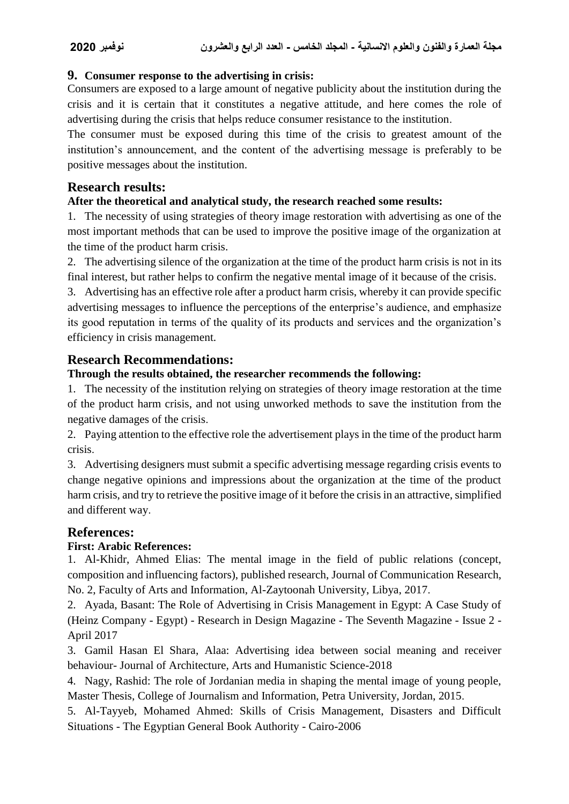#### **9. Consumer response to the advertising in crisis:**

Consumers are exposed to a large amount of negative publicity about the institution during the crisis and it is certain that it constitutes a negative attitude, and here comes the role of advertising during the crisis that helps reduce consumer resistance to the institution.

The consumer must be exposed during this time of the crisis to greatest amount of the institution's announcement, and the content of the advertising message is preferably to be positive messages about the institution.

### **Research results:**

#### **After the theoretical and analytical study, the research reached some results:**

1. The necessity of using strategies of theory image restoration with advertising as one of the most important methods that can be used to improve the positive image of the organization at the time of the product harm crisis.

2. The advertising silence of the organization at the time of the product harm crisis is not in its final interest, but rather helps to confirm the negative mental image of it because of the crisis.

3. Advertising has an effective role after a product harm crisis, whereby it can provide specific advertising messages to influence the perceptions of the enterprise's audience, and emphasize its good reputation in terms of the quality of its products and services and the organization's efficiency in crisis management.

### **Research Recommendations:**

#### **Through the results obtained, the researcher recommends the following:**

1. The necessity of the institution relying on strategies of theory image restoration at the time of the product harm crisis, and not using unworked methods to save the institution from the negative damages of the crisis.

2. Paying attention to the effective role the advertisement plays in the time of the product harm crisis.

3. Advertising designers must submit a specific advertising message regarding crisis events to change negative opinions and impressions about the organization at the time of the product harm crisis, and try to retrieve the positive image of it before the crisis in an attractive, simplified and different way.

#### **References:**

#### **First: Arabic References:**

1. Al-Khidr, Ahmed Elias: The mental image in the field of public relations (concept, composition and influencing factors), published research, Journal of Communication Research, No. 2, Faculty of Arts and Information, Al-Zaytoonah University, Libya, 2017.

2. Ayada, Basant: The Role of Advertising in Crisis Management in Egypt: A Case Study of (Heinz Company - Egypt) - Research in Design Magazine - The Seventh Magazine - Issue 2 - April 2017

3. Gamil Hasan El Shara, Alaa: Advertising idea between social meaning and receiver behaviour- Journal of Architecture, Arts and Humanistic Science-2018

4. Nagy, Rashid: The role of Jordanian media in shaping the mental image of young people, Master Thesis, College of Journalism and Information, Petra University, Jordan, 2015.

5. Al-Tayyeb, Mohamed Ahmed: Skills of Crisis Management, Disasters and Difficult Situations - The Egyptian General Book Authority - Cairo-2006